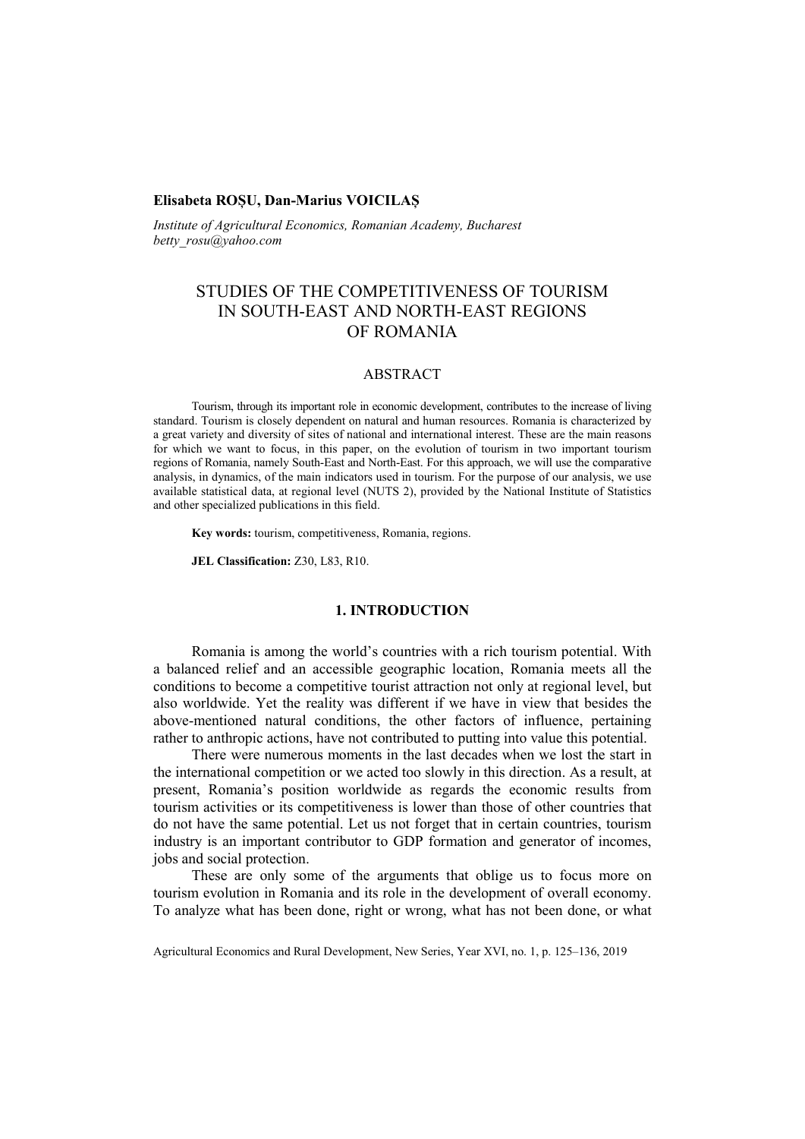## **Elisabeta ROȘU, Dan-Marius VOICILAȘ**

*Institute of Agricultural Economics, Romanian Academy, Bucharest betty\_rosu@yahoo.com* 

# STUDIES OF THE COMPETITIVENESS OF TOURISM IN SOUTH-EAST AND NORTH-EAST REGIONS OF ROMANIA

#### ABSTRACT

Tourism, through its important role in economic development, contributes to the increase of living standard. Tourism is closely dependent on natural and human resources. Romania is characterized by a great variety and diversity of sites of national and international interest. These are the main reasons for which we want to focus, in this paper, on the evolution of tourism in two important tourism regions of Romania, namely South-East and North-East. For this approach, we will use the comparative analysis, in dynamics, of the main indicators used in tourism. For the purpose of our analysis, we use available statistical data, at regional level (NUTS 2), provided by the National Institute of Statistics and other specialized publications in this field.

**Key words:** tourism, competitiveness, Romania, regions.

**JEL Classification:** Z30, L83, R10.

### **1. INTRODUCTION**

Romania is among the world's countries with a rich tourism potential. With a balanced relief and an accessible geographic location, Romania meets all the conditions to become a competitive tourist attraction not only at regional level, but also worldwide. Yet the reality was different if we have in view that besides the above-mentioned natural conditions, the other factors of influence, pertaining rather to anthropic actions, have not contributed to putting into value this potential.

There were numerous moments in the last decades when we lost the start in the international competition or we acted too slowly in this direction. As a result, at present, Romania's position worldwide as regards the economic results from tourism activities or its competitiveness is lower than those of other countries that do not have the same potential. Let us not forget that in certain countries, tourism industry is an important contributor to GDP formation and generator of incomes, jobs and social protection.

These are only some of the arguments that oblige us to focus more on tourism evolution in Romania and its role in the development of overall economy. To analyze what has been done, right or wrong, what has not been done, or what

Agricultural Economics and Rural Development, New Series, Year XVI, no. 1, p. 125–136, 2019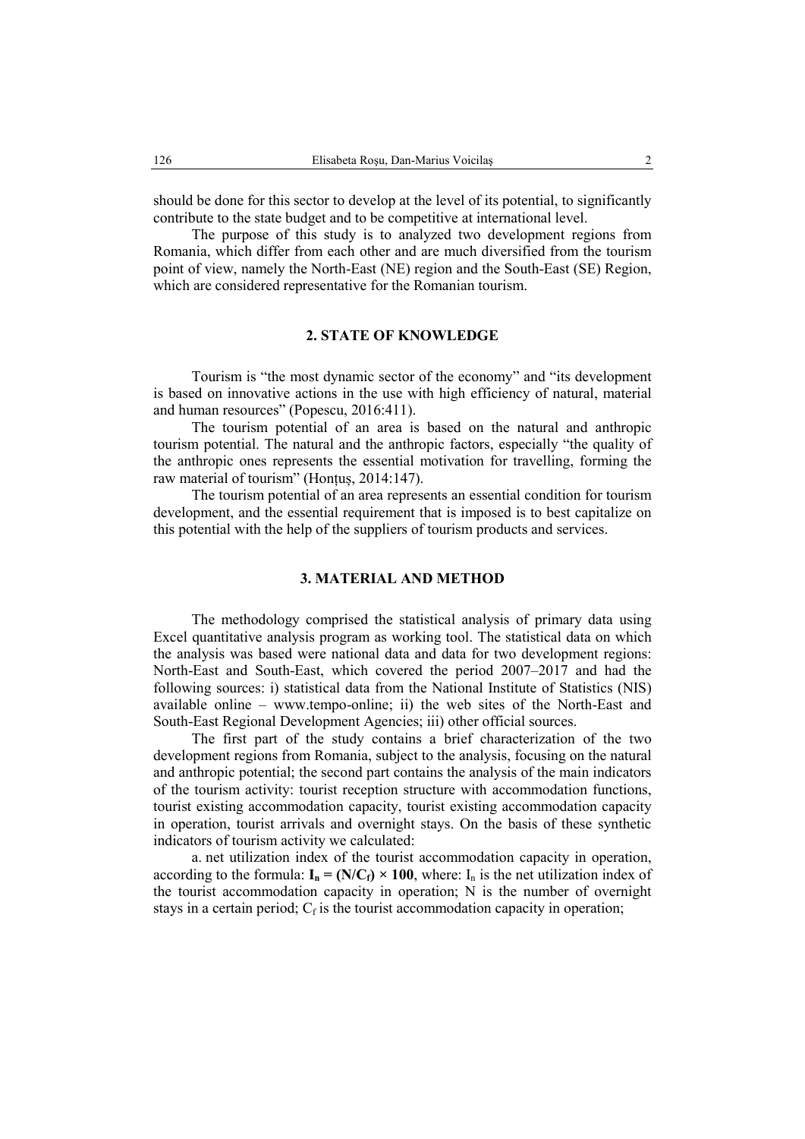should be done for this sector to develop at the level of its potential, to significantly contribute to the state budget and to be competitive at international level.

The purpose of this study is to analyzed two development regions from Romania, which differ from each other and are much diversified from the tourism point of view, namely the North-East (NE) region and the South-East (SE) Region, which are considered representative for the Romanian tourism.

## **2. STATE OF KNOWLEDGE**

Tourism is "the most dynamic sector of the economy" and "its development is based on innovative actions in the use with high efficiency of natural, material and human resources" (Popescu, 2016:411).

The tourism potential of an area is based on the natural and anthropic tourism potential. The natural and the anthropic factors, especially "the quality of the anthropic ones represents the essential motivation for travelling, forming the raw material of tourism" (Honțuș, 2014:147).

The tourism potential of an area represents an essential condition for tourism development, and the essential requirement that is imposed is to best capitalize on this potential with the help of the suppliers of tourism products and services.

## **3. MATERIAL AND METHOD**

The methodology comprised the statistical analysis of primary data using Excel quantitative analysis program as working tool. The statistical data on which the analysis was based were national data and data for two development regions: North-East and South-East, which covered the period 2007–2017 and had the following sources: i) statistical data from the National Institute of Statistics (NIS) available online – www.tempo-online; ii) the web sites of the North-East and South-East Regional Development Agencies; iii) other official sources.

The first part of the study contains a brief characterization of the two development regions from Romania, subject to the analysis, focusing on the natural and anthropic potential; the second part contains the analysis of the main indicators of the tourism activity: tourist reception structure with accommodation functions, tourist existing accommodation capacity, tourist existing accommodation capacity in operation, tourist arrivals and overnight stays. On the basis of these synthetic indicators of tourism activity we calculated:

a. net utilization index of the tourist accommodation capacity in operation, according to the formula:  $I_n = (N/C_f) \times 100$ , where:  $I_n$  is the net utilization index of the tourist accommodation capacity in operation; N is the number of overnight stays in a certain period;  $C_f$  is the tourist accommodation capacity in operation;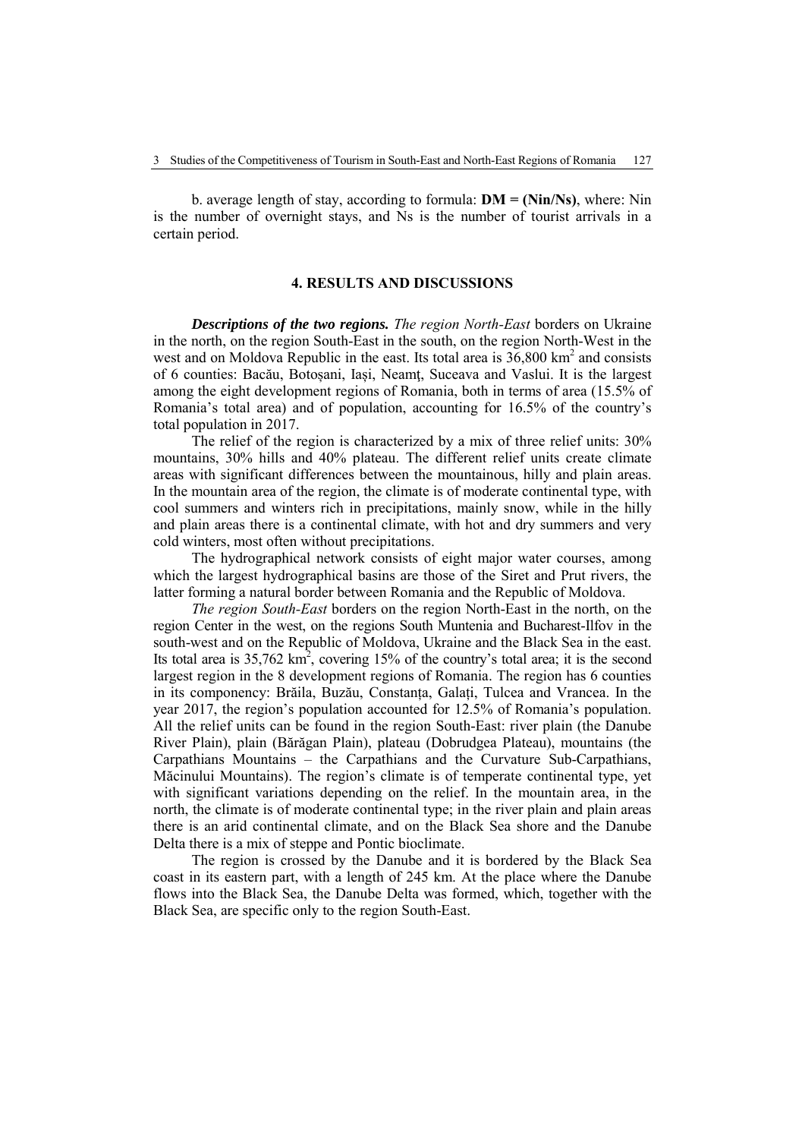b. average length of stay, according to formula: **DM = (Nin/Ns)**, where: Nin is the number of overnight stays, and Ns is the number of tourist arrivals in a certain period.

### **4. RESULTS AND DISCUSSIONS**

*Descriptions of the two regions. The region North-East* borders on Ukraine in the north, on the region South-East in the south, on the region North-West in the west and on Moldova Republic in the east. Its total area is  $36,800 \text{ km}^2$  and consists of 6 counties: Bacău, Botoșani, Iași, Neamţ, Suceava and Vaslui. It is the largest among the eight development regions of Romania, both in terms of area (15.5% of Romania's total area) and of population, accounting for 16.5% of the country's total population in 2017.

The relief of the region is characterized by a mix of three relief units: 30% mountains, 30% hills and 40% plateau. The different relief units create climate areas with significant differences between the mountainous, hilly and plain areas. In the mountain area of the region, the climate is of moderate continental type, with cool summers and winters rich in precipitations, mainly snow, while in the hilly and plain areas there is a continental climate, with hot and dry summers and very cold winters, most often without precipitations.

The hydrographical network consists of eight major water courses, among which the largest hydrographical basins are those of the Siret and Prut rivers, the latter forming a natural border between Romania and the Republic of Moldova.

*The region South-East* borders on the region North-East in the north, on the region Center in the west, on the regions South Muntenia and Bucharest-Ilfov in the south-west and on the Republic of Moldova, Ukraine and the Black Sea in the east. Its total area is  $35,762 \text{ km}^2$ , covering 15% of the country's total area; it is the second largest region in the 8 development regions of Romania. The region has 6 counties in its componency: Brăila, Buzău, Constanța, Galați, Tulcea and Vrancea. In the year 2017, the region's population accounted for 12.5% of Romania's population. All the relief units can be found in the region South-East: river plain (the Danube River Plain), plain (Bărăgan Plain), plateau (Dobrudgea Plateau), mountains (the Carpathians Mountains – the Carpathians and the Curvature Sub-Carpathians, Măcinului Mountains). The region's climate is of temperate continental type, yet with significant variations depending on the relief. In the mountain area, in the north, the climate is of moderate continental type; in the river plain and plain areas there is an arid continental climate, and on the Black Sea shore and the Danube Delta there is a mix of steppe and Pontic bioclimate.

The region is crossed by the Danube and it is bordered by the Black Sea coast in its eastern part, with a length of 245 km. At the place where the Danube flows into the Black Sea, the Danube Delta was formed, which, together with the Black Sea, are specific only to the region South-East.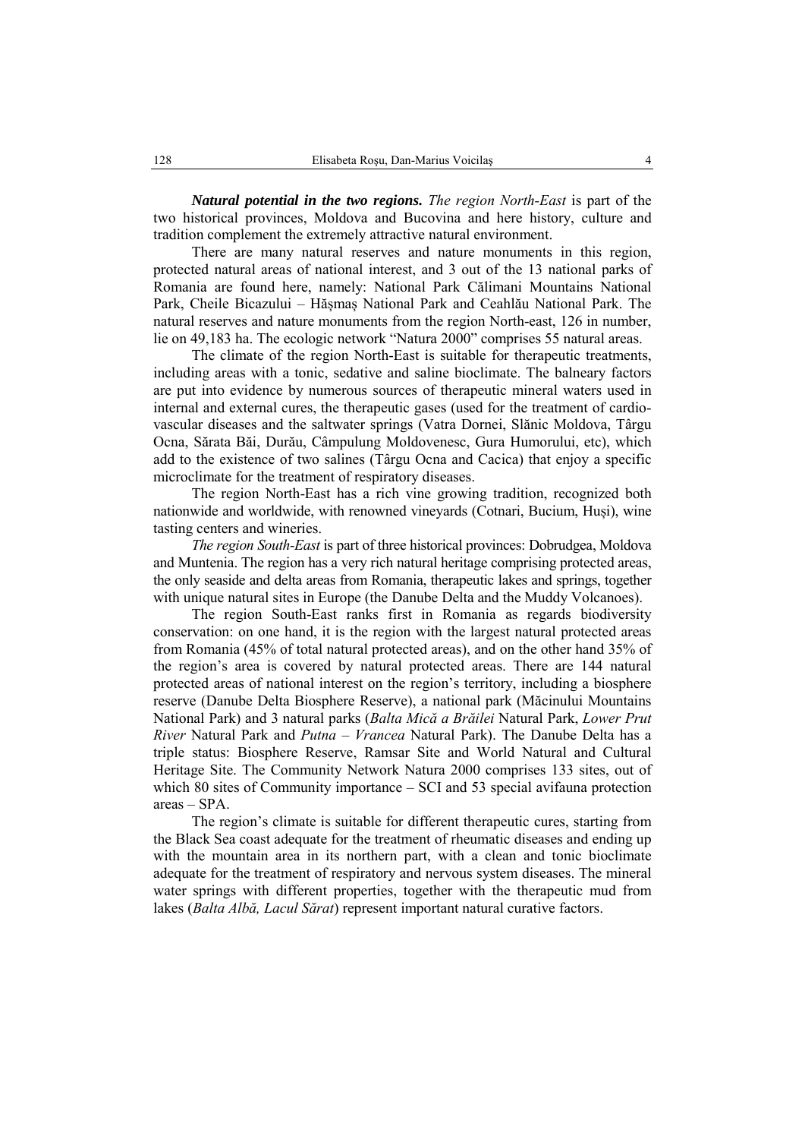*Natural potential in the two regions. The region North-East* is part of the two historical provinces, Moldova and Bucovina and here history, culture and tradition complement the extremely attractive natural environment.

There are many natural reserves and nature monuments in this region, protected natural areas of national interest, and 3 out of the 13 national parks of Romania are found here, namely: National Park Călimani Mountains National Park, Cheile Bicazului – Hășmaș National Park and Ceahlău National Park. The natural reserves and nature monuments from the region North-east, 126 in number, lie on 49,183 ha. The ecologic network "Natura 2000" comprises 55 natural areas.

The climate of the region North-East is suitable for therapeutic treatments, including areas with a tonic, sedative and saline bioclimate. The balneary factors are put into evidence by numerous sources of therapeutic mineral waters used in internal and external cures, the therapeutic gases (used for the treatment of cardiovascular diseases and the saltwater springs (Vatra Dornei, Slănic Moldova, Târgu Ocna, Sărata Băi, Durău, Câmpulung Moldovenesc, Gura Humorului, etc), which add to the existence of two salines (Târgu Ocna and Cacica) that enjoy a specific microclimate for the treatment of respiratory diseases.

The region North-East has a rich vine growing tradition, recognized both nationwide and worldwide, with renowned vineyards (Cotnari, Bucium, Huși), wine tasting centers and wineries.

*The region South-East* is part of three historical provinces: Dobrudgea, Moldova and Muntenia. The region has a very rich natural heritage comprising protected areas, the only seaside and delta areas from Romania, therapeutic lakes and springs, together with unique natural sites in Europe (the Danube Delta and the Muddy Volcanoes).

The region South-East ranks first in Romania as regards biodiversity conservation: on one hand, it is the region with the largest natural protected areas from Romania (45% of total natural protected areas), and on the other hand 35% of the region's area is covered by natural protected areas. There are 144 natural protected areas of national interest on the region's territory, including a biosphere reserve (Danube Delta Biosphere Reserve), a national park (Măcinului Mountains National Park) and 3 natural parks (*Balta Mică a Brăilei* Natural Park, *Lower Prut River* Natural Park and *Putna – Vrancea* Natural Park). The Danube Delta has a triple status: Biosphere Reserve, Ramsar Site and World Natural and Cultural Heritage Site. The Community Network Natura 2000 comprises 133 sites, out of which 80 sites of Community importance – SCI and 53 special avifauna protection areas – SPA.

The region's climate is suitable for different therapeutic cures, starting from the Black Sea coast adequate for the treatment of rheumatic diseases and ending up with the mountain area in its northern part, with a clean and tonic bioclimate adequate for the treatment of respiratory and nervous system diseases. The mineral water springs with different properties, together with the therapeutic mud from lakes (*Balta Albă, Lacul Sărat*) represent important natural curative factors.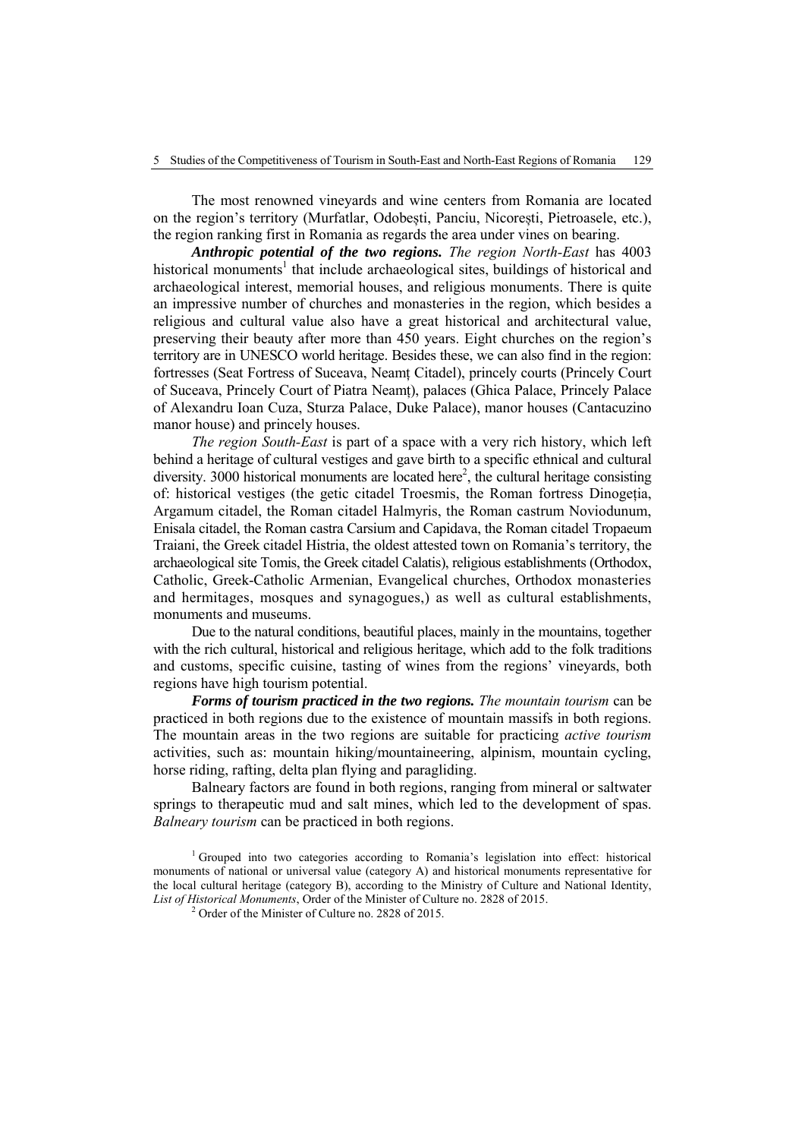The most renowned vineyards and wine centers from Romania are located on the region's territory (Murfatlar, Odobești, Panciu, Nicorești, Pietroasele, etc.), the region ranking first in Romania as regards the area under vines on bearing.

*Anthropic potential of the two regions. The region North-East* has 4003 historical monuments<sup>1</sup> that include archaeological sites, buildings of historical and archaeological interest, memorial houses, and religious monuments. There is quite an impressive number of churches and monasteries in the region, which besides a religious and cultural value also have a great historical and architectural value, preserving their beauty after more than 450 years. Eight churches on the region's territory are in UNESCO world heritage. Besides these, we can also find in the region: fortresses (Seat Fortress of Suceava, Neamț Citadel), princely courts (Princely Court of Suceava, Princely Court of Piatra Neamț), palaces (Ghica Palace, Princely Palace of Alexandru Ioan Cuza, Sturza Palace, Duke Palace), manor houses (Cantacuzino manor house) and princely houses.

*The region South-East* is part of a space with a very rich history, which left behind a heritage of cultural vestiges and gave birth to a specific ethnical and cultural diversity. 3000 historical monuments are located here<sup>2</sup>, the cultural heritage consisting of: historical vestiges (the getic citadel Troesmis, the Roman fortress Dinogeția, Argamum citadel, the Roman citadel Halmyris, the Roman castrum Noviodunum, Enisala citadel, the Roman castra Carsium and Capidava, the Roman citadel Tropaeum Traiani, the Greek citadel Histria, the oldest attested town on Romania's territory, the archaeological site Tomis, the Greek citadel Calatis), religious establishments (Orthodox, Catholic, Greek-Catholic Armenian, Evangelical churches, Orthodox monasteries and hermitages, mosques and synagogues,) as well as cultural establishments, monuments and museums.

Due to the natural conditions, beautiful places, mainly in the mountains, together with the rich cultural, historical and religious heritage, which add to the folk traditions and customs, specific cuisine, tasting of wines from the regions' vineyards, both regions have high tourism potential.

*Forms of tourism practiced in the two regions. The mountain tourism* can be practiced in both regions due to the existence of mountain massifs in both regions. The mountain areas in the two regions are suitable for practicing *active tourism*  activities, such as: mountain hiking/mountaineering, alpinism, mountain cycling, horse riding, rafting, delta plan flying and paragliding.

Balneary factors are found in both regions, ranging from mineral or saltwater springs to therapeutic mud and salt mines, which led to the development of spas. *Balneary tourism* can be practiced in both regions.

<sup>&</sup>lt;sup>1</sup> Grouped into two categories according to Romania's legislation into effect: historical monuments of national or universal value (category A) and historical monuments representative for the local cultural heritage (category B), according to the Ministry of Culture and National Identity, *List of Historical Monuments*, Order of the Minister of Culture no. 2828 of 2015. 2

 $2$  Order of the Minister of Culture no. 2828 of 2015.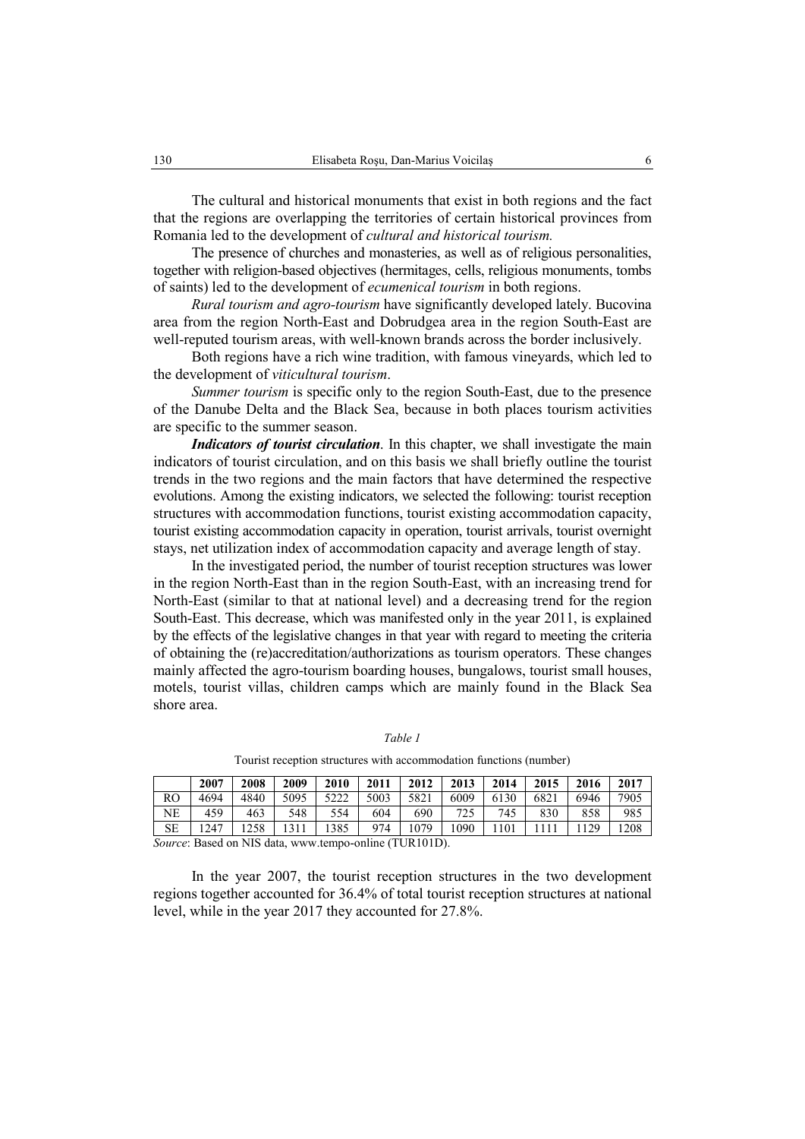The cultural and historical monuments that exist in both regions and the fact that the regions are overlapping the territories of certain historical provinces from Romania led to the development of *cultural and historical tourism.* 

The presence of churches and monasteries, as well as of religious personalities, together with religion-based objectives (hermitages, cells, religious monuments, tombs of saints) led to the development of *ecumenical tourism* in both regions.

*Rural tourism and agro-tourism* have significantly developed lately. Bucovina area from the region North-East and Dobrudgea area in the region South-East are well-reputed tourism areas, with well-known brands across the border inclusively.

Both regions have a rich wine tradition, with famous vineyards, which led to the development of *viticultural tourism*.

*Summer tourism* is specific only to the region South-East, due to the presence of the Danube Delta and the Black Sea, because in both places tourism activities are specific to the summer season.

*Indicators of tourist circulation*. In this chapter, we shall investigate the main indicators of tourist circulation, and on this basis we shall briefly outline the tourist trends in the two regions and the main factors that have determined the respective evolutions. Among the existing indicators, we selected the following: tourist reception structures with accommodation functions, tourist existing accommodation capacity, tourist existing accommodation capacity in operation, tourist arrivals, tourist overnight stays, net utilization index of accommodation capacity and average length of stay.

In the investigated period, the number of tourist reception structures was lower in the region North-East than in the region South-East, with an increasing trend for North-East (similar to that at national level) and a decreasing trend for the region South-East. This decrease, which was manifested only in the year 2011, is explained by the effects of the legislative changes in that year with regard to meeting the criteria of obtaining the (re)accreditation/authorizations as tourism operators. These changes mainly affected the agro-tourism boarding houses, bungalows, tourist small houses, motels, tourist villas, children camps which are mainly found in the Black Sea shore area.

*Table 1* 

Tourist reception structures with accommodation functions (number)

|           | 2007 | 2008 | 2009 | 2010 | 2011 | 2012 | 2013 | 2014 | 2015 | 2016 | 2017 |
|-----------|------|------|------|------|------|------|------|------|------|------|------|
| RO        | 4694 | 4840 | 5095 | 5222 | 5003 | 5821 | 6009 | 6130 | 6821 | 6946 | 7905 |
| NE        | 459  | 463  | 548  | 554  | 604  | 690  | 725  | 745  | 830  | 858  | 985  |
| <b>SE</b> | .247 | 1258 | 131  | 1385 | 974  | .079 | 1090 |      |      | 20   | 1208 |

*Source*: Based on NIS data, www.tempo-online (TUR101D).

In the year 2007, the tourist reception structures in the two development regions together accounted for 36.4% of total tourist reception structures at national level, while in the year 2017 they accounted for 27.8%.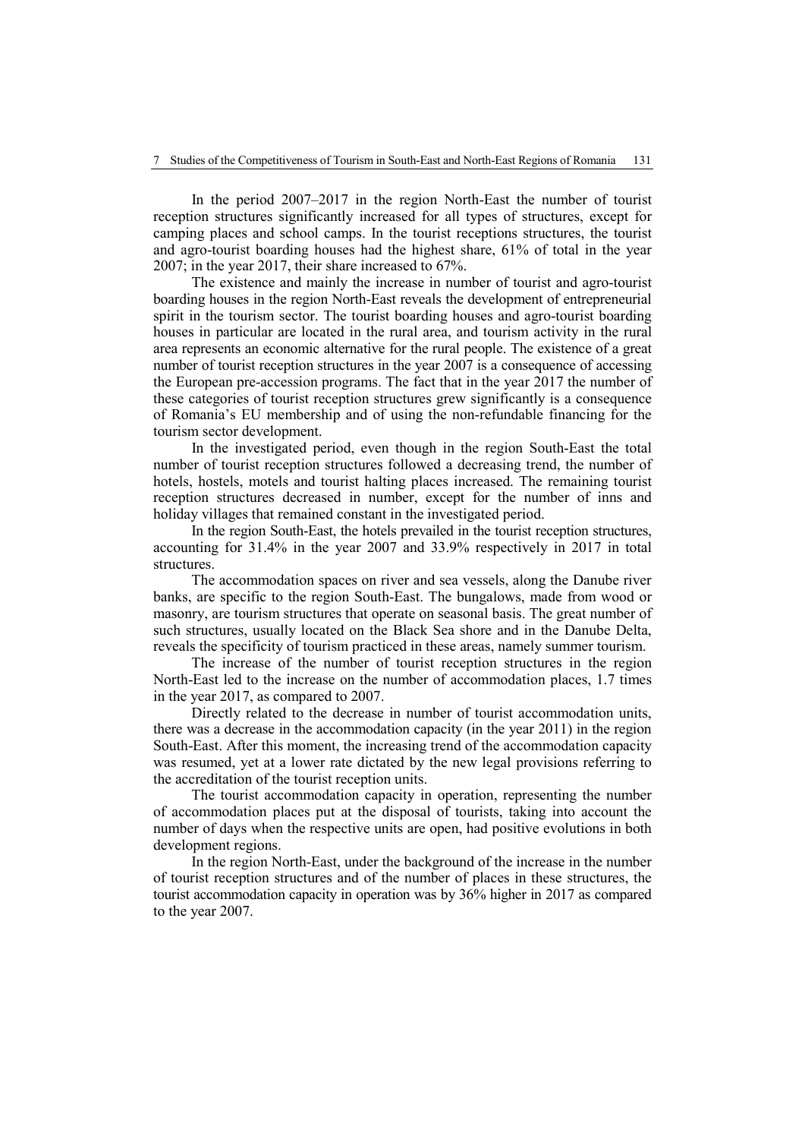In the period 2007–2017 in the region North-East the number of tourist reception structures significantly increased for all types of structures, except for camping places and school camps. In the tourist receptions structures, the tourist and agro-tourist boarding houses had the highest share, 61% of total in the year 2007; in the year 2017, their share increased to 67%.

The existence and mainly the increase in number of tourist and agro-tourist boarding houses in the region North-East reveals the development of entrepreneurial spirit in the tourism sector. The tourist boarding houses and agro-tourist boarding houses in particular are located in the rural area, and tourism activity in the rural area represents an economic alternative for the rural people. The existence of a great number of tourist reception structures in the year 2007 is a consequence of accessing the European pre-accession programs. The fact that in the year 2017 the number of these categories of tourist reception structures grew significantly is a consequence of Romania's EU membership and of using the non-refundable financing for the tourism sector development.

In the investigated period, even though in the region South-East the total number of tourist reception structures followed a decreasing trend, the number of hotels, hostels, motels and tourist halting places increased. The remaining tourist reception structures decreased in number, except for the number of inns and holiday villages that remained constant in the investigated period.

In the region South-East, the hotels prevailed in the tourist reception structures, accounting for 31.4% in the year 2007 and 33.9% respectively in 2017 in total structures.

The accommodation spaces on river and sea vessels, along the Danube river banks, are specific to the region South-East. The bungalows, made from wood or masonry, are tourism structures that operate on seasonal basis. The great number of such structures, usually located on the Black Sea shore and in the Danube Delta, reveals the specificity of tourism practiced in these areas, namely summer tourism.

The increase of the number of tourist reception structures in the region North-East led to the increase on the number of accommodation places, 1.7 times in the year 2017, as compared to 2007.

Directly related to the decrease in number of tourist accommodation units, there was a decrease in the accommodation capacity (in the year 2011) in the region South-East. After this moment, the increasing trend of the accommodation capacity was resumed, yet at a lower rate dictated by the new legal provisions referring to the accreditation of the tourist reception units.

The tourist accommodation capacity in operation, representing the number of accommodation places put at the disposal of tourists, taking into account the number of days when the respective units are open, had positive evolutions in both development regions.

In the region North-East, under the background of the increase in the number of tourist reception structures and of the number of places in these structures, the tourist accommodation capacity in operation was by 36% higher in 2017 as compared to the year 2007.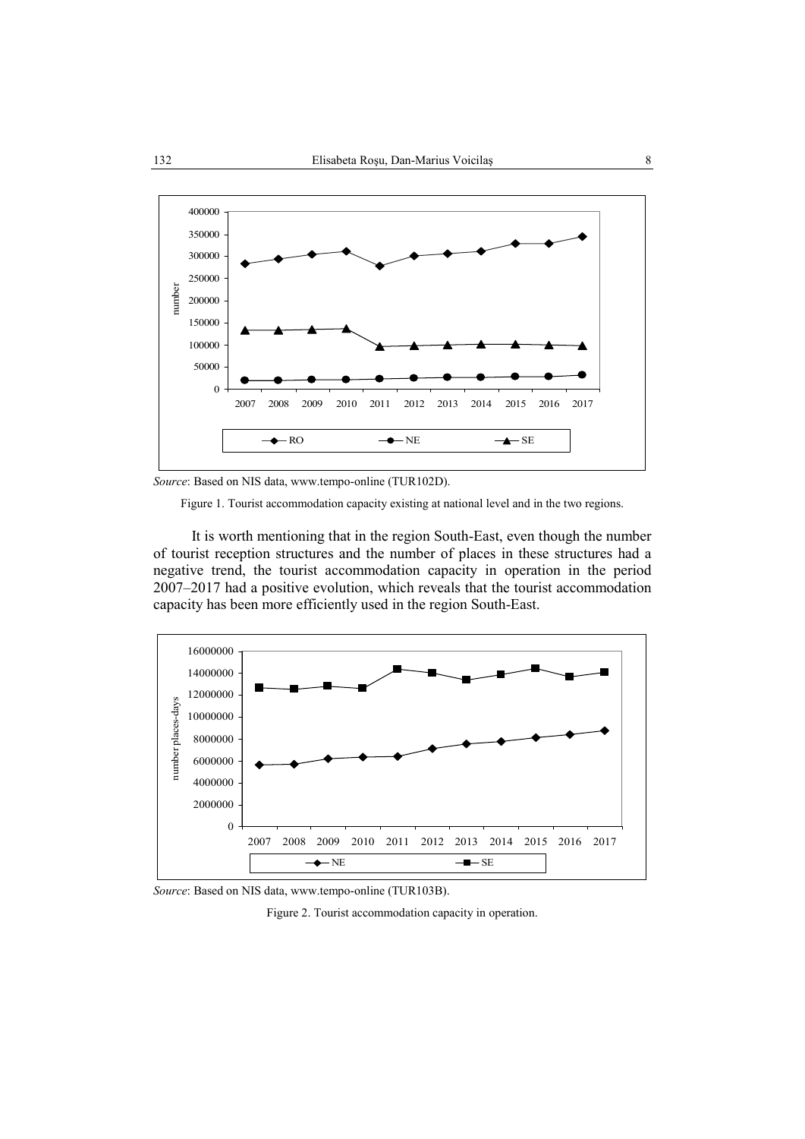

*Source*: Based on NIS data, www.tempo-online (TUR102D).

Figure 1. Tourist accommodation capacity existing at national level and in the two regions.

It is worth mentioning that in the region South-East, even though the number of tourist reception structures and the number of places in these structures had a negative trend, the tourist accommodation capacity in operation in the period 2007–2017 had a positive evolution, which reveals that the tourist accommodation capacity has been more efficiently used in the region South-East.



*Source*: Based on NIS data, www.tempo-online (TUR103B).

Figure 2. Tourist accommodation capacity in operation.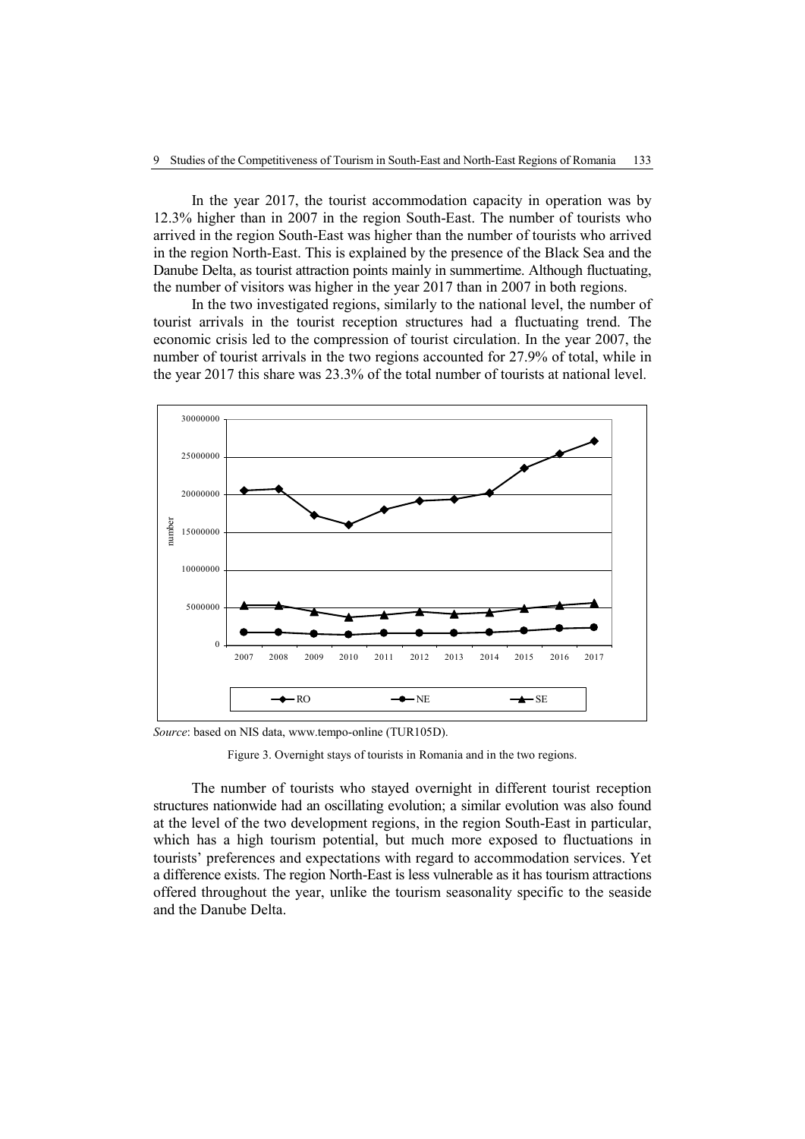In the year 2017, the tourist accommodation capacity in operation was by 12.3% higher than in 2007 in the region South-East. The number of tourists who arrived in the region South-East was higher than the number of tourists who arrived in the region North-East. This is explained by the presence of the Black Sea and the Danube Delta, as tourist attraction points mainly in summertime. Although fluctuating, the number of visitors was higher in the year 2017 than in 2007 in both regions.

In the two investigated regions, similarly to the national level, the number of tourist arrivals in the tourist reception structures had a fluctuating trend. The economic crisis led to the compression of tourist circulation. In the year 2007, the number of tourist arrivals in the two regions accounted for 27.9% of total, while in the year 2017 this share was 23.3% of the total number of tourists at national level.



*Source*: based on NIS data, www.tempo-online (TUR105D).

Figure 3. Overnight stays of tourists in Romania and in the two regions.

The number of tourists who stayed overnight in different tourist reception structures nationwide had an oscillating evolution; a similar evolution was also found at the level of the two development regions, in the region South-East in particular, which has a high tourism potential, but much more exposed to fluctuations in tourists' preferences and expectations with regard to accommodation services. Yet a difference exists. The region North-East is less vulnerable as it has tourism attractions offered throughout the year, unlike the tourism seasonality specific to the seaside and the Danube Delta.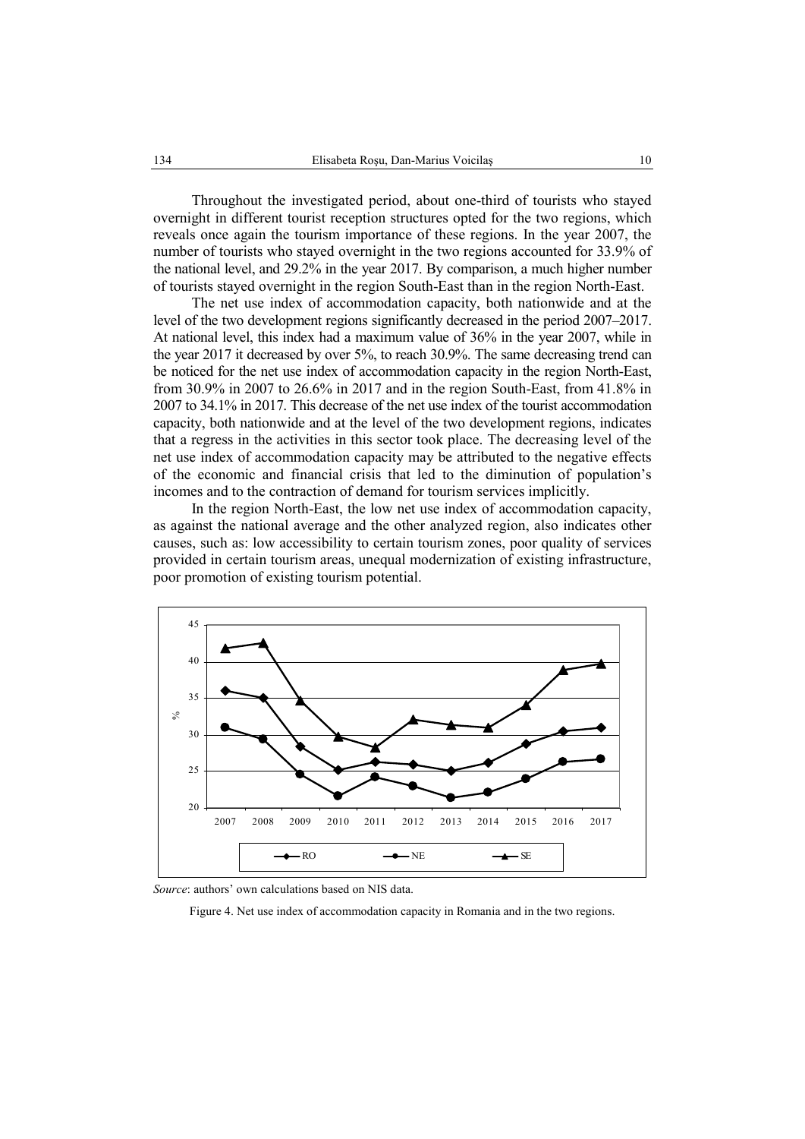Throughout the investigated period, about one-third of tourists who stayed overnight in different tourist reception structures opted for the two regions, which reveals once again the tourism importance of these regions. In the year 2007, the number of tourists who stayed overnight in the two regions accounted for 33.9% of the national level, and 29.2% in the year 2017. By comparison, a much higher number of tourists stayed overnight in the region South-East than in the region North-East.

The net use index of accommodation capacity, both nationwide and at the level of the two development regions significantly decreased in the period 2007–2017. At national level, this index had a maximum value of 36% in the year 2007, while in the year 2017 it decreased by over 5%, to reach 30.9%. The same decreasing trend can be noticed for the net use index of accommodation capacity in the region North-East, from 30.9% in 2007 to 26.6% in 2017 and in the region South-East, from 41.8% in 2007 to 34.1% in 2017. This decrease of the net use index of the tourist accommodation capacity, both nationwide and at the level of the two development regions, indicates that a regress in the activities in this sector took place. The decreasing level of the net use index of accommodation capacity may be attributed to the negative effects of the economic and financial crisis that led to the diminution of population's incomes and to the contraction of demand for tourism services implicitly.

In the region North-East, the low net use index of accommodation capacity, as against the national average and the other analyzed region, also indicates other causes, such as: low accessibility to certain tourism zones, poor quality of services provided in certain tourism areas, unequal modernization of existing infrastructure, poor promotion of existing tourism potential.





Figure 4. Net use index of accommodation capacity in Romania and in the two regions.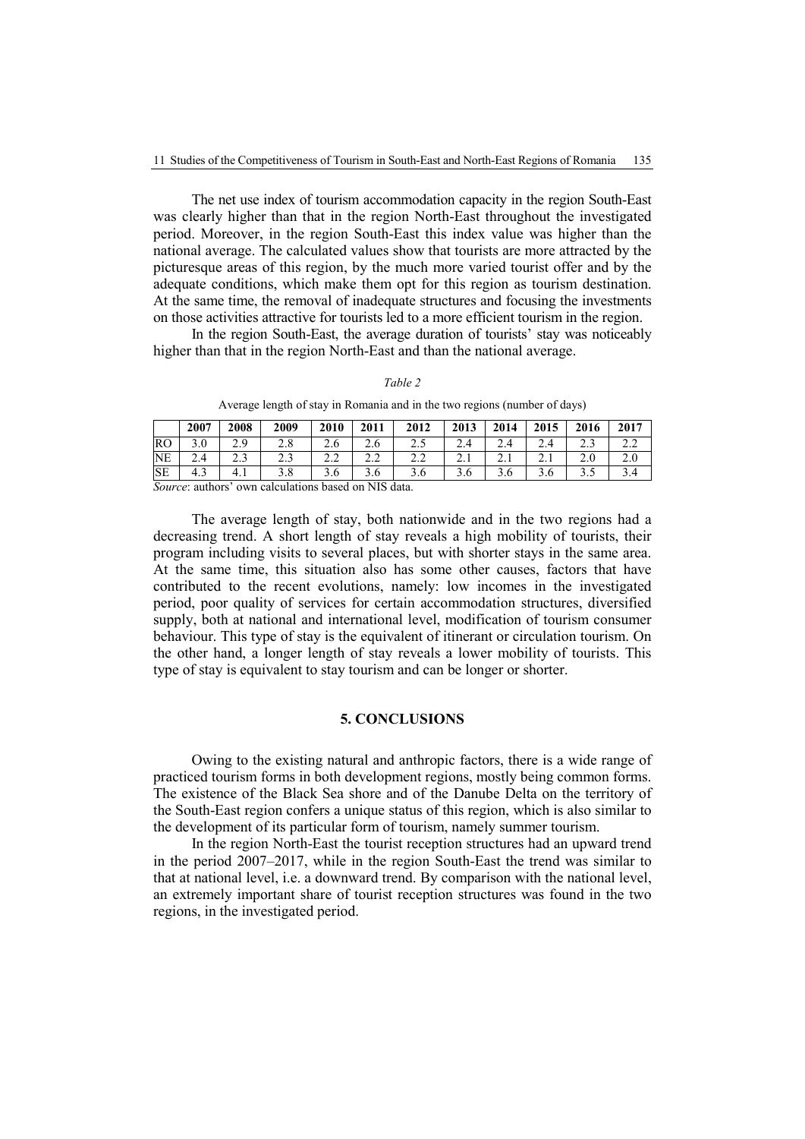The net use index of tourism accommodation capacity in the region South-East was clearly higher than that in the region North-East throughout the investigated period. Moreover, in the region South-East this index value was higher than the national average. The calculated values show that tourists are more attracted by the picturesque areas of this region, by the much more varied tourist offer and by the adequate conditions, which make them opt for this region as tourism destination. At the same time, the removal of inadequate structures and focusing the investments on those activities attractive for tourists led to a more efficient tourism in the region.

In the region South-East, the average duration of tourists' stay was noticeably higher than that in the region North-East and than the national average.

#### *Table 2*

Average length of stay in Romania and in the two regions (number of days)

|           | 2007      | 2008       | 2009 | 2010         | 2011           | 2012     | 2013     | 2014     | 2015     | 2016  | 2017            |
|-----------|-----------|------------|------|--------------|----------------|----------|----------|----------|----------|-------|-----------------|
| RO        | J.V       | ر و پ      | 2.0  | 2.0          | Z.O            | ر. .     | ⌒<br>∠.⊤ | ∠.−      | ∠.⊤      | ر . ب | <u>.</u>        |
| <b>NE</b> | ∠.−       | ⌒<br>ر . ب | ر. ک | <u>_ . _</u> | <u>.</u>       | <u>.</u> | <u>.</u> | <u>.</u> | <u>.</u> | ۷.v   | $\sim$ $\sigma$ |
| <b>SE</b> | 4.5       | 4. 1       | J.O  | J.V          | J.U            | 3.0      | v        | J.U      | J.V      | ن و ب |                 |
| $\sim$    | $\cdot$ 1 |            |      |              | $3.770 \pm 1.$ |          |          |          |          |       |                 |

*Source*: authors' own calculations based on NIS data.

The average length of stay, both nationwide and in the two regions had a decreasing trend. A short length of stay reveals a high mobility of tourists, their program including visits to several places, but with shorter stays in the same area. At the same time, this situation also has some other causes, factors that have contributed to the recent evolutions, namely: low incomes in the investigated period, poor quality of services for certain accommodation structures, diversified supply, both at national and international level, modification of tourism consumer behaviour. This type of stay is the equivalent of itinerant or circulation tourism. On the other hand, a longer length of stay reveals a lower mobility of tourists. This type of stay is equivalent to stay tourism and can be longer or shorter.

## **5. CONCLUSIONS**

Owing to the existing natural and anthropic factors, there is a wide range of practiced tourism forms in both development regions, mostly being common forms. The existence of the Black Sea shore and of the Danube Delta on the territory of the South-East region confers a unique status of this region, which is also similar to the development of its particular form of tourism, namely summer tourism.

In the region North-East the tourist reception structures had an upward trend in the period 2007–2017, while in the region South-East the trend was similar to that at national level, i.e. a downward trend. By comparison with the national level, an extremely important share of tourist reception structures was found in the two regions, in the investigated period.